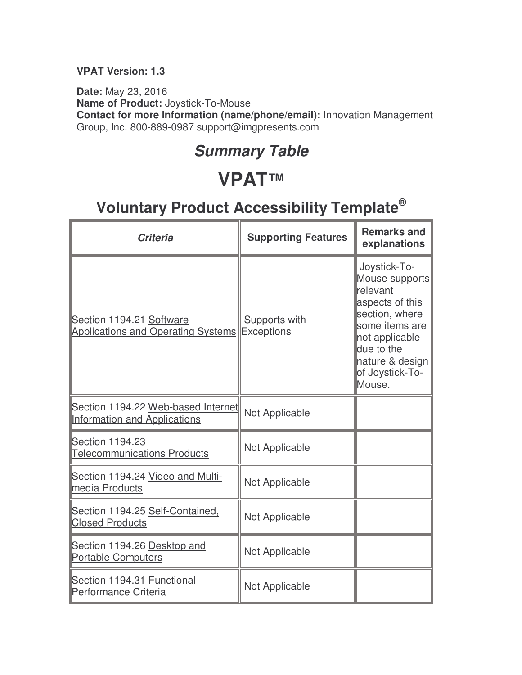#### **VPAT Version: 1.3**

**Date:** May 23, 2016 **Name of Product:** Joystick-To-Mouse **Contact for more Information (name/phone/email):** Innovation Management Group, Inc. 800-889-0987 support@imgpresents.com

### **Summary Table**

# **VPAT™**

| Criteria                                                                  | <b>Supporting Features</b>         | <b>Remarks and</b><br>explanations                                                                                                                                                |
|---------------------------------------------------------------------------|------------------------------------|-----------------------------------------------------------------------------------------------------------------------------------------------------------------------------------|
| Section 1194.21 Software<br><b>Applications and Operating Systems</b>     | Supports with<br><b>Exceptions</b> | Joystick-To-<br>Mouse supports<br>relevant<br>aspects of this<br>section, where<br>some items are<br>not applicable<br>due to the<br>nature & design<br>of Joystick-To-<br>Mouse. |
| Section 1194.22 Web-based Internet<br><b>Information and Applications</b> | Not Applicable                     |                                                                                                                                                                                   |
| Section 1194.23<br><b>Telecommunications Products</b>                     | Not Applicable                     |                                                                                                                                                                                   |
| Section 1194.24 Video and Multi-<br>media Products                        | Not Applicable                     |                                                                                                                                                                                   |
| Section 1194.25 Self-Contained,<br><b>Closed Products</b>                 | Not Applicable                     |                                                                                                                                                                                   |
| Section 1194.26 Desktop and<br><b>Portable Computers</b>                  | Not Applicable                     |                                                                                                                                                                                   |
| Section 1194.31 Functional<br>Performance Criteria                        | Not Applicable                     |                                                                                                                                                                                   |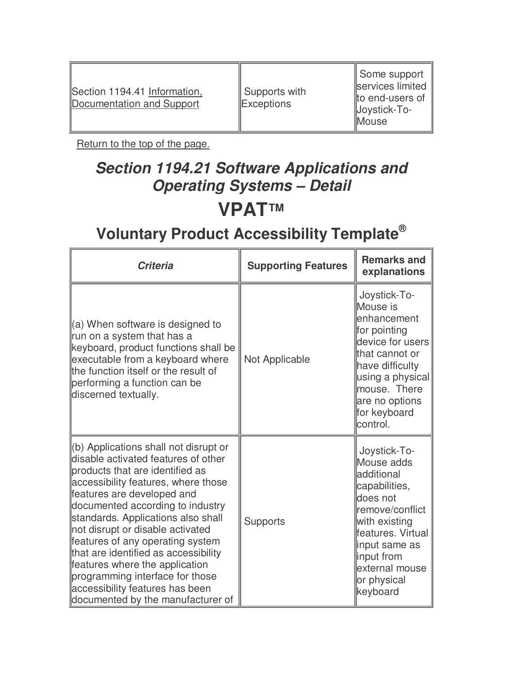| Section 1194.41 Information,<br>Documentation and Support | Supports with<br>Exceptions |  |
|-----------------------------------------------------------|-----------------------------|--|

Τ

 Some support services limited end-users of Joystick-To-Mouse

Return to the top of the page.

# **Section 1194.21 Software Applications and Operating Systems – Detail VPAT™**

| <b>Criteria</b>                                                                                                                                                                                                                                                                                                                                                                                                                                                                                                             | <b>Supporting Features</b> | <b>Remarks and</b><br>explanations                                                                                                                                                                          |
|-----------------------------------------------------------------------------------------------------------------------------------------------------------------------------------------------------------------------------------------------------------------------------------------------------------------------------------------------------------------------------------------------------------------------------------------------------------------------------------------------------------------------------|----------------------------|-------------------------------------------------------------------------------------------------------------------------------------------------------------------------------------------------------------|
| $(a)$ When software is designed to<br>run on a system that has a<br>keyboard, product functions shall be<br>executable from a keyboard where<br>the function itself or the result of<br>performing a function can be<br>discerned textually.                                                                                                                                                                                                                                                                                | Not Applicable             | Joystick-To-<br>Mouse is<br>lenhancement<br>for pointing<br>device for users<br>that cannot or<br>have difficulty<br>using a physical<br>mouse. There<br>are no options<br>for keyboard<br>control.         |
| (b) Applications shall not disrupt or<br>disable activated features of other<br>products that are identified as<br>accessibility features, where those<br>features are developed and<br>documented according to industry<br>standards. Applications also shall<br>not disrupt or disable activated<br>features of any operating system<br>that are identified as accessibility<br>features where the application<br>programming interface for those<br>accessibility features has been<br>documented by the manufacturer of | <b>Supports</b>            | Joystick-To-<br>Mouse adds<br>ladditional<br>capabilities,<br>does not<br>remove/conflict<br>with existing<br>features. Virtual<br>input same as<br>input from<br>external mouse<br>or physical<br>keyboard |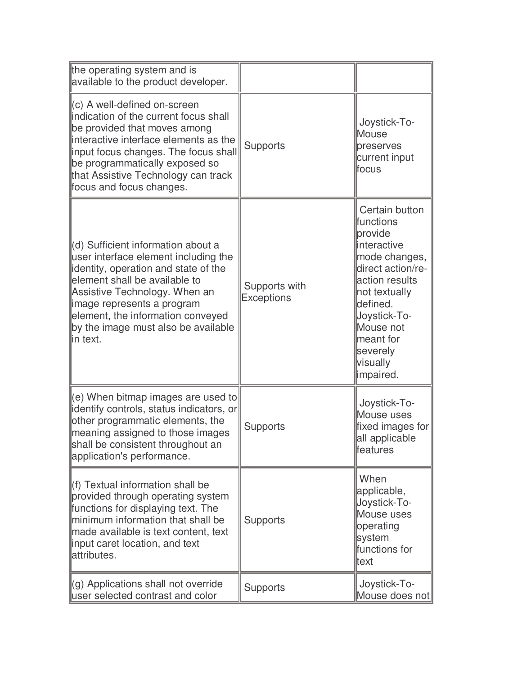| the operating system and is<br>available to the product developer.                                                                                                                                                                                                                                          |                                    |                                                                                                                                                                                                                                  |
|-------------------------------------------------------------------------------------------------------------------------------------------------------------------------------------------------------------------------------------------------------------------------------------------------------------|------------------------------------|----------------------------------------------------------------------------------------------------------------------------------------------------------------------------------------------------------------------------------|
| (c) A well-defined on-screen<br>indication of the current focus shall<br>be provided that moves among<br>interactive interface elements as the<br>input focus changes. The focus shall<br>be programmatically exposed so<br>that Assistive Technology can track<br>focus and focus changes.                 | <b>Supports</b>                    | Joystick-To-<br>Mouse<br>preserves<br>current input<br>focus                                                                                                                                                                     |
| (d) Sufficient information about a<br>user interface element including the<br>identity, operation and state of the<br>element shall be available to<br>Assistive Technology. When an<br>image represents a program<br>element, the information conveyed<br>by the image must also be available<br>lin text. | Supports with<br><b>Exceptions</b> | Certain button<br><b>functions</b><br>provide<br>interactive<br>mode changes,<br>direct action/re-<br>action results<br>not textually<br>defined.<br>Joystick-To-<br>Mouse not<br>meant for<br>severely<br>visually<br>impaired. |
| (e) When bitmap images are used to<br>identify controls, status indicators, or<br>other programmatic elements, the<br>meaning assigned to those images<br>shall be consistent throughout an<br>application's performance.                                                                                   | <b>Supports</b>                    | Joystick-To-<br>Mouse uses<br>fixed images for<br>all applicable<br>features                                                                                                                                                     |
| (f) Textual information shall be<br>provided through operating system<br>functions for displaying text. The<br>minimum information that shall be<br>made available is text content, text<br>input caret location, and text<br>attributes.                                                                   | <b>Supports</b>                    | When<br>applicable,<br>Joystick-To-<br>Mouse uses<br>operating<br>system<br>functions for<br>ltext                                                                                                                               |
| (g) Applications shall not override<br>user selected contrast and color                                                                                                                                                                                                                                     | <b>Supports</b>                    | Joystick-To-<br>Mouse does not                                                                                                                                                                                                   |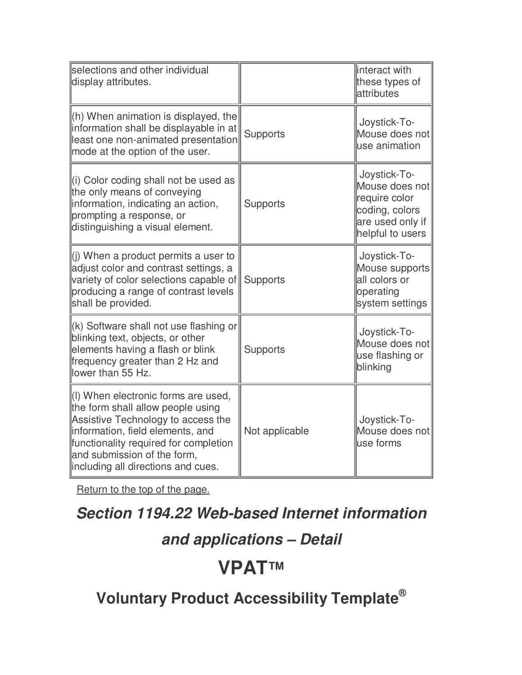| selections and other individual<br>display attributes.                                                                                                                                                                                                           |                 | interact with<br>these types of<br>attributes                                                             |
|------------------------------------------------------------------------------------------------------------------------------------------------------------------------------------------------------------------------------------------------------------------|-----------------|-----------------------------------------------------------------------------------------------------------|
| $\ $ (h) When animation is displayed, the<br>information shall be displayable in at<br>least one non-animated presentation<br>mode at the option of the user.                                                                                                    | <b>Supports</b> | Joystick-To-<br>Mouse does not<br>use animation                                                           |
| l(i) Color coding shall not be used as<br>the only means of conveying<br>information, indicating an action,<br>prompting a response, or<br>distinguishing a visual element.                                                                                      | <b>Supports</b> | Joystick-To-<br>Mouse does not<br>require color<br>coding, colors<br>are used only if<br>helpful to users |
| $\ $ (i) When a product permits a user to<br>adjust color and contrast settings, a<br>variety of color selections capable of<br>producing a range of contrast levels<br>shall be provided.                                                                       | <b>Supports</b> | Joystick-To-<br>Mouse supports<br>all colors or<br>operating<br>system settings                           |
| $\parallel$ (k) Software shall not use flashing or<br>blinking text, objects, or other<br>elements having a flash or blink<br>frequency greater than 2 Hz and<br>lower than 55 Hz.                                                                               | <b>Supports</b> | Joystick-To-<br>Mouse does not<br>use flashing or<br>blinking                                             |
| (I) When electronic forms are used,<br>the form shall allow people using<br>Assistive Technology to access the<br>information, field elements, and<br>functionality required for completion<br>and submission of the form,<br>including all directions and cues. | Not applicable  | Joystick-To-<br>Mouse does not<br>luse forms                                                              |

### **Section 1194.22 Web-based Internet information**

### **and applications – Detail**

# **VPAT™**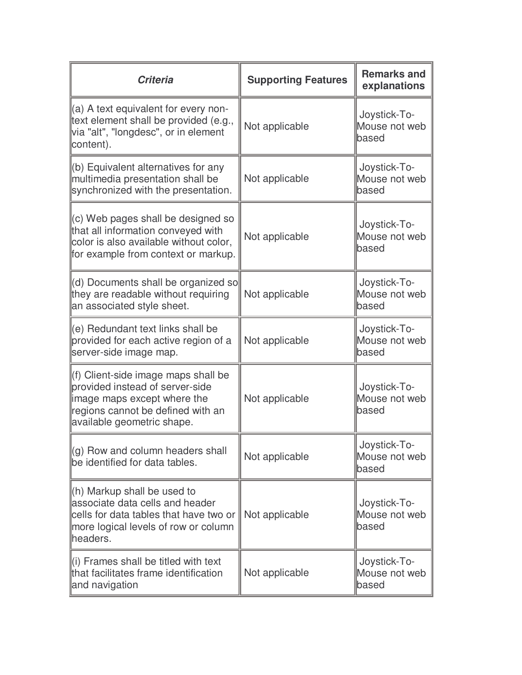| <b>Criteria</b>                                                                                                                                                          | <b>Supporting Features</b> | <b>Remarks and</b><br>explanations     |
|--------------------------------------------------------------------------------------------------------------------------------------------------------------------------|----------------------------|----------------------------------------|
| (a) A text equivalent for every non-<br>text element shall be provided (e.g.,<br>via "alt", "longdesc", or in element<br>content).                                       | Not applicable             | Joystick-To-<br>Mouse not web<br>based |
| (b) Equivalent alternatives for any<br>multimedia presentation shall be<br>synchronized with the presentation.                                                           | Not applicable             | Joystick-To-<br>Mouse not web<br>based |
| (c) Web pages shall be designed so<br>that all information conveyed with<br>color is also available without color,<br>for example from context or markup.                | Not applicable             | Joystick-To-<br>Mouse not web<br>based |
| (d) Documents shall be organized so<br>they are readable without requiring<br>an associated style sheet.                                                                 | Not applicable             | Joystick-To-<br>Mouse not web<br>based |
| (e) Redundant text links shall be<br>provided for each active region of a<br>server-side image map.                                                                      | Not applicable             | Joystick-To-<br>Mouse not web<br>based |
| (f) Client-side image maps shall be<br>provided instead of server-side<br>image maps except where the<br>regions cannot be defined with an<br>available geometric shape. | Not applicable             | Joystick-To-<br>Mouse not web<br>based |
| $(q)$ Row and column headers shall<br>be identified for data tables.                                                                                                     | Not applicable             | Joystick-To-<br>Mouse not web<br>based |
| (h) Markup shall be used to<br>associate data cells and header<br>cells for data tables that have two or<br>more logical levels of row or column<br>headers.             | Not applicable             | Joystick-To-<br>Mouse not web<br>based |
| $\parallel$ (i) Frames shall be titled with text<br>that facilitates frame identification<br>and navigation                                                              | Not applicable             | Joystick-To-<br>Mouse not web<br>based |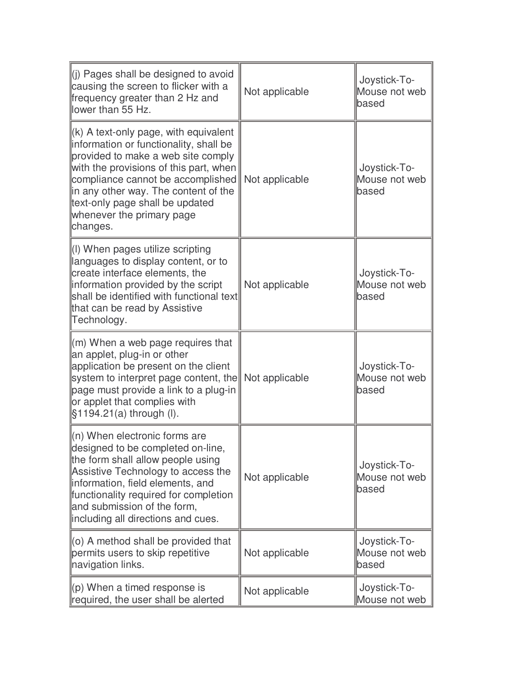| $\parallel$ (i) Pages shall be designed to avoid<br>causing the screen to flicker with a<br>frequency greater than 2 Hz and<br>lower than 55 Hz.                                                                                                                                                                                     | Not applicable | Joystick-To-<br>Mouse not web<br>based |
|--------------------------------------------------------------------------------------------------------------------------------------------------------------------------------------------------------------------------------------------------------------------------------------------------------------------------------------|----------------|----------------------------------------|
| $\parallel$ (k) A text-only page, with equivalent<br>information or functionality, shall be<br>provided to make a web site comply<br>with the provisions of this part, when<br>compliance cannot be accomplished<br>in any other way. The content of the<br>text-only page shall be updated<br>whenever the primary page<br>changes. | Not applicable | Joystick-To-<br>Mouse not web<br>based |
| (I) When pages utilize scripting<br>languages to display content, or to<br>create interface elements, the<br>information provided by the script<br>shall be identified with functional text<br>that can be read by Assistive<br>Technology.                                                                                          | Not applicable | Joystick-To-<br>Mouse not web<br>based |
| (m) When a web page requires that<br>an applet, plug-in or other<br>application be present on the client<br>system to interpret page content, the<br>page must provide a link to a plug-in<br>or applet that complies with<br>$§1194.21(a)$ through (I).                                                                             | Not applicable | Joystick-To-<br>Mouse not web<br>based |
| $\ $ (n) When electronic forms are<br>designed to be completed on-line,<br>the form shall allow people using<br>Assistive Technology to access the<br>information, field elements, and<br>functionality required for completion<br>and submission of the form,<br>including all directions and cues.                                 | Not applicable | Joystick-To-<br>Mouse not web<br>based |
| $(0)$ A method shall be provided that<br>permits users to skip repetitive<br>navigation links.                                                                                                                                                                                                                                       | Not applicable | Joystick-To-<br>Mouse not web<br>based |
| $(p)$ When a timed response is<br>required, the user shall be alerted                                                                                                                                                                                                                                                                | Not applicable | Joystick-To-<br>Mouse not web          |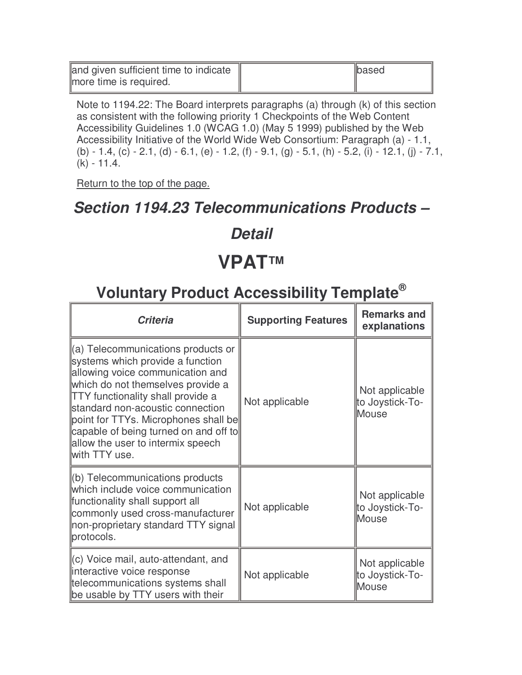and given sufficient time to indicate more time is required.

Note to 1194.22: The Board interprets paragraphs (a) through (k) of this section as consistent with the following priority 1 Checkpoints of the Web Content Accessibility Guidelines 1.0 (WCAG 1.0) (May 5 1999) published by the Web Accessibility Initiative of the World Wide Web Consortium: Paragraph (a) - 1.1, (b) - 1.4, (c) - 2.1, (d) - 6.1, (e) - 1.2, (f) - 9.1, (g) - 5.1, (h) - 5.2, (i) - 12.1, (j) - 7.1, (k) - 11.4.

based

Return to the top of the page.

#### **Section 1194.23 Telecommunications Products –**

#### **Detail**

### **VPAT™**

| <b>Criteria</b>                                                                                                                                                                                                                                                                                                                                                        | <b>Supporting Features</b> | <b>Remarks and</b><br>explanations         |
|------------------------------------------------------------------------------------------------------------------------------------------------------------------------------------------------------------------------------------------------------------------------------------------------------------------------------------------------------------------------|----------------------------|--------------------------------------------|
| (a) Telecommunications products or<br>systems which provide a function<br>allowing voice communication and<br>which do not themselves provide a<br><b>TTY</b> functionality shall provide a<br>standard non-acoustic connection<br>point for TTYs. Microphones shall be<br>capable of being turned on and off to<br>allow the user to intermix speech<br>with TTY use. | Not applicable             | Not applicable<br>to Joystick-To-<br>Mouse |
| (b) Telecommunications products<br>which include voice communication<br>functionality shall support all<br>commonly used cross-manufacturer<br>non-proprietary standard TTY signal<br>protocols.                                                                                                                                                                       | Not applicable             | Not applicable<br>to Joystick-To-<br>Mouse |
| (c) Voice mail, auto-attendant, and<br>interactive voice response<br>telecommunications systems shall<br>be usable by TTY users with their                                                                                                                                                                                                                             | Not applicable             | Not applicable<br>to Joystick-To-<br>Mouse |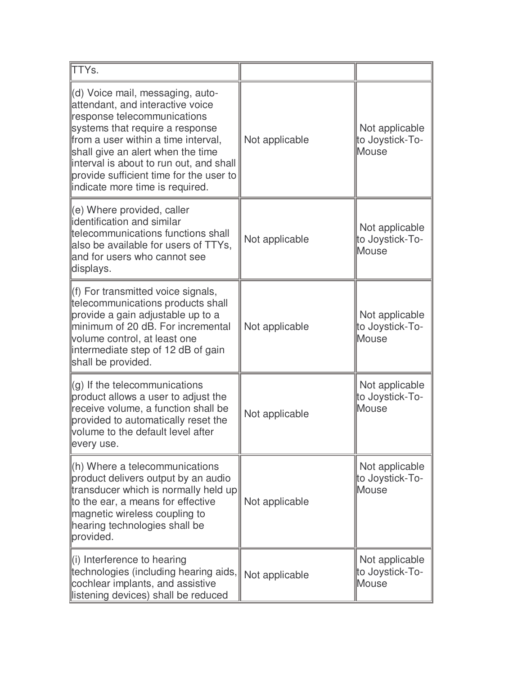| <b>ITTYs.</b>                                                                                                                                                                                                                                                                                                                               |                |                                                   |
|---------------------------------------------------------------------------------------------------------------------------------------------------------------------------------------------------------------------------------------------------------------------------------------------------------------------------------------------|----------------|---------------------------------------------------|
| (d) Voice mail, messaging, auto-<br>attendant, and interactive voice<br>response telecommunications<br>systems that require a response<br>from a user within a time interval,<br>shall give an alert when the time<br>interval is about to run out, and shall<br>provide sufficient time for the user to<br>indicate more time is required. | Not applicable | Not applicable<br>to Joystick-To-<br>Mouse        |
| (e) Where provided, caller<br>identification and similar<br>telecommunications functions shall<br>also be available for users of TTYs,<br>and for users who cannot see<br>displays.                                                                                                                                                         | Not applicable | Not applicable<br>to Joystick-To-<br>Mouse        |
| (f) For transmitted voice signals,<br>telecommunications products shall<br>provide a gain adjustable up to a<br>minimum of 20 dB. For incremental<br>volume control, at least one<br>intermediate step of 12 dB of gain<br>shall be provided.                                                                                               | Not applicable | Not applicable<br>to Joystick-To-<br>Mouse        |
| $(g)$ If the telecommunications<br>product allows a user to adjust the<br>receive volume, a function shall be<br>provided to automatically reset the<br>volume to the default level after<br>every use.                                                                                                                                     | Not applicable | Not applicable<br>to Joystick-To-<br>Mouse        |
| (h) Where a telecommunications<br>product delivers output by an audio<br>transducer which is normally held up<br>to the ear, a means for effective<br>magnetic wireless coupling to<br>hearing technologies shall be<br>provided.                                                                                                           | Not applicable | Not applicable<br>to Joystick-To-<br><b>Mouse</b> |
| $\parallel$ (i) Interference to hearing<br>technologies (including hearing aids,<br>cochlear implants, and assistive<br>listening devices) shall be reduced                                                                                                                                                                                 | Not applicable | Not applicable<br>to Joystick-To-<br><b>Mouse</b> |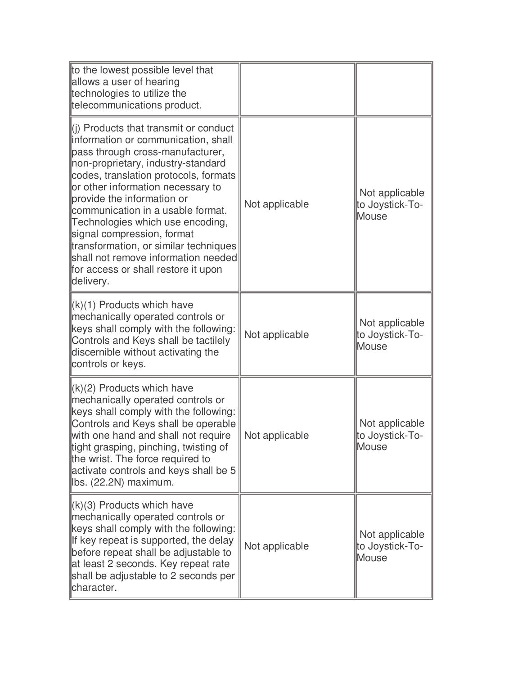| to the lowest possible level that<br>allows a user of hearing<br>technologies to utilize the<br>telecommunications product.                                                                                                                                                                                                                                                                                                                                                                                               |                |                                                   |
|---------------------------------------------------------------------------------------------------------------------------------------------------------------------------------------------------------------------------------------------------------------------------------------------------------------------------------------------------------------------------------------------------------------------------------------------------------------------------------------------------------------------------|----------------|---------------------------------------------------|
| $\parallel$ (i) Products that transmit or conduct<br>information or communication, shall<br>pass through cross-manufacturer,<br>non-proprietary, industry-standard<br>codes, translation protocols, formats<br>or other information necessary to<br>provide the information or<br>communication in a usable format.<br>Technologies which use encoding,<br>signal compression, format<br>transformation, or similar techniques<br>shall not remove information needed<br>for access or shall restore it upon<br>delivery. | Not applicable | Not applicable<br>to Joystick-To-<br>Mouse        |
| $(k)(1)$ Products which have<br>mechanically operated controls or<br>keys shall comply with the following:<br>Controls and Keys shall be tactilely<br>discernible without activating the<br>controls or keys.                                                                                                                                                                                                                                                                                                             | Not applicable | Not applicable<br>to Joystick-To-<br>Mouse        |
| $(k)(2)$ Products which have<br>mechanically operated controls or<br>keys shall comply with the following:<br>Controls and Keys shall be operable<br>with one hand and shall not require<br>tight grasping, pinching, twisting of<br>the wrist. The force required to<br>activate controls and keys shall be 5<br>lbs. (22.2N) maximum.                                                                                                                                                                                   | Not applicable | Not applicable<br>to Joystick-To-<br><b>Mouse</b> |
| $\ (k)(3)$ Products which have<br>mechanically operated controls or<br>keys shall comply with the following:<br>If key repeat is supported, the delay<br>before repeat shall be adjustable to<br>at least 2 seconds. Key repeat rate<br>shall be adjustable to 2 seconds per<br>character.                                                                                                                                                                                                                                | Not applicable | Not applicable<br>to Joystick-To-<br>Mouse        |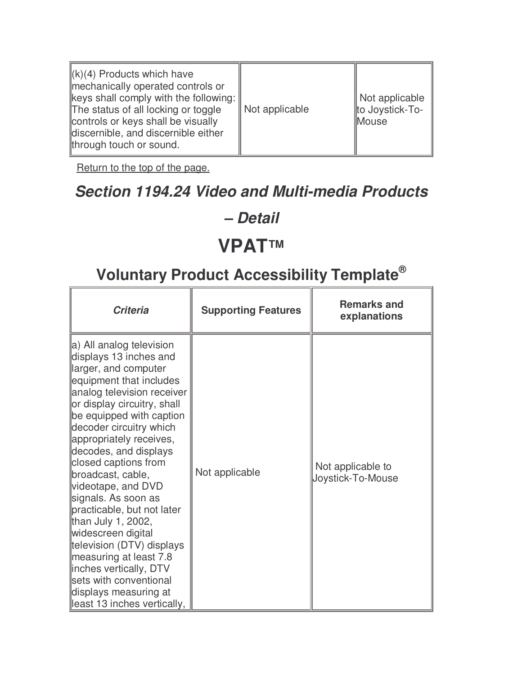| $\ (k)(4)$ Products which have<br>mechanically operated controls or<br>$\parallel$ keys shall comply with the following: $\parallel$<br>The status of all locking or toggle<br>controls or keys shall be visually<br>discernible, and discernible either<br>through touch or sound. | Not applicable | Not applicable<br>to Joystick-To-<br><b>Mouse</b> |
|-------------------------------------------------------------------------------------------------------------------------------------------------------------------------------------------------------------------------------------------------------------------------------------|----------------|---------------------------------------------------|
|-------------------------------------------------------------------------------------------------------------------------------------------------------------------------------------------------------------------------------------------------------------------------------------|----------------|---------------------------------------------------|

# **Section 1194.24 Video and Multi-media Products**

#### **– Detail**

# **VPAT™**

| <b>Criteria</b>                                                                                                                                                                                                                                                                                                                                                                                                                                                                                                                                                                                                      | <b>Supporting Features</b> | <b>Remarks and</b><br>explanations     |
|----------------------------------------------------------------------------------------------------------------------------------------------------------------------------------------------------------------------------------------------------------------------------------------------------------------------------------------------------------------------------------------------------------------------------------------------------------------------------------------------------------------------------------------------------------------------------------------------------------------------|----------------------------|----------------------------------------|
| a) All analog television<br>displays 13 inches and<br>larger, and computer<br>equipment that includes<br>analog television receiver<br>or display circuitry, shall<br>be equipped with caption<br>decoder circuitry which<br>appropriately receives,<br>decodes, and displays<br>closed captions from<br>broadcast, cable,<br>videotape, and DVD<br>signals. As soon as<br>practicable, but not later<br>than July 1, 2002,<br>widescreen digital<br>television (DTV) displays<br>measuring at least 7.8<br>inches vertically, DTV<br>sets with conventional<br>displays measuring at<br>least 13 inches vertically, | Not applicable             | Not applicable to<br>Joystick-To-Mouse |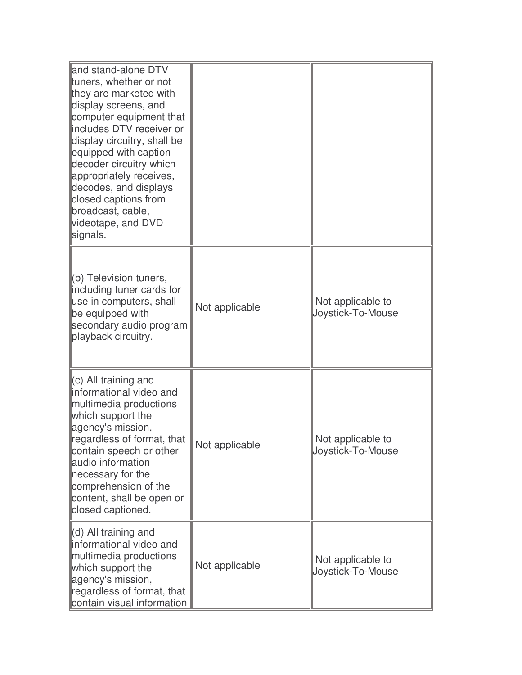| land stand-alone DTV<br>tuners, whether or not<br>they are marketed with<br>display screens, and<br>computer equipment that<br>includes DTV receiver or<br>display circuitry, shall be<br>equipped with caption<br>decoder circuitry which<br>appropriately receives,<br>decodes, and displays<br>closed captions from<br>broadcast, cable,<br>videotape, and DVD<br>signals. |                |                                        |
|-------------------------------------------------------------------------------------------------------------------------------------------------------------------------------------------------------------------------------------------------------------------------------------------------------------------------------------------------------------------------------|----------------|----------------------------------------|
| (b) Television tuners,<br>including tuner cards for<br>use in computers, shall<br>be equipped with<br>secondary audio program<br>playback circuitry.                                                                                                                                                                                                                          | Not applicable | Not applicable to<br>Joystick-To-Mouse |
| $\parallel$ (c) All training and<br>informational video and<br>multimedia productions<br>which support the<br>agency's mission,<br>regardless of format, that<br>contain speech or other<br>audio information<br>necessary for the<br>comprehension of the<br>content, shall be open or<br>closed captioned.                                                                  | Not applicable | Not applicable to<br>Joystick-To-Mouse |
| $\parallel$ (d) All training and<br>informational video and<br>multimedia productions<br>which support the<br>agency's mission,<br>regardless of format, that<br>contain visual information                                                                                                                                                                                   | Not applicable | Not applicable to<br>Joystick-To-Mouse |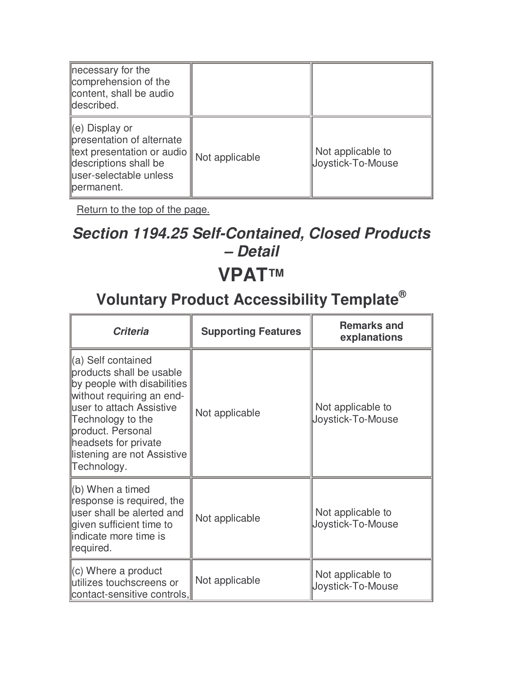| necessary for the<br>comprehension of the<br>content, shall be audio<br>described.                                                                 |                |                                        |
|----------------------------------------------------------------------------------------------------------------------------------------------------|----------------|----------------------------------------|
| ∥(e) Display or<br>presentation of alternate<br>∥text presentation or audio   <br>descriptions shall be<br>luser-selectable unless<br>llpermanent. | Not applicable | Not applicable to<br>Joystick-To-Mouse |

### **Section 1194.25 Self-Contained, Closed Products – Detail**

### **VPAT™**

| <b>Criteria</b>                                                                                                                                                                                                                                        | <b>Supporting Features</b> | <b>Remarks and</b><br>explanations     |
|--------------------------------------------------------------------------------------------------------------------------------------------------------------------------------------------------------------------------------------------------------|----------------------------|----------------------------------------|
| (a) Self contained<br>products shall be usable<br>by people with disabilities<br>without requiring an end-<br>user to attach Assistive<br>Technology to the<br>product. Personal<br>headsets for private<br>listening are not Assistive<br>Technology. | Not applicable             | Not applicable to<br>Joystick-To-Mouse |
| $(6)$ When a timed<br>response is required, the<br>user shall be alerted and<br>given sufficient time to<br>lindicate more time is<br>required.                                                                                                        | Not applicable             | Not applicable to<br>Joystick-To-Mouse |
| $\left\vert (c)$ Where a product<br>utilizes touchscreens or<br>contact-sensitive controls,                                                                                                                                                            | Not applicable             | Not applicable to<br>Joystick-To-Mouse |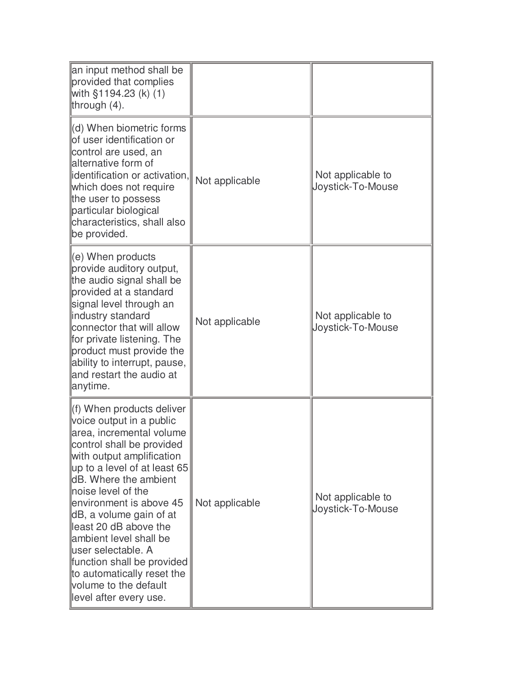| an input method shall be<br>provided that complies<br>with $§1194.23$ (k) (1)<br>through $(4)$ .                                                                                                                                                                                                                                                                                                                                                                                 |                |                                        |
|----------------------------------------------------------------------------------------------------------------------------------------------------------------------------------------------------------------------------------------------------------------------------------------------------------------------------------------------------------------------------------------------------------------------------------------------------------------------------------|----------------|----------------------------------------|
| (d) When biometric forms<br>of user identification or<br>control are used, an<br>alternative form of<br>lidentification or activation,<br>which does not require<br>the user to possess<br>particular biological<br>characteristics, shall also<br>be provided.                                                                                                                                                                                                                  | Not applicable | Not applicable to<br>Joystick-To-Mouse |
| $\parallel$ (e) When products<br>provide auditory output,<br>the audio signal shall be<br>provided at a standard<br>signal level through an<br>industry standard<br>connector that will allow<br>for private listening. The<br>product must provide the<br>ability to interrupt, pause,<br>and restart the audio at<br>anytime.                                                                                                                                                  | Not applicable | Not applicable to<br>Joystick-To-Mouse |
| (f) When products deliver<br>voice output in a public<br>area, incremental volume<br>control shall be provided<br>with output amplification<br>$\mu$ p to a level of at least 65<br>dB. Where the ambient<br>noise level of the<br>environment is above 45<br>dB, a volume gain of at<br>lleast 20 dB above the<br>ambient level shall be<br>lluser selectable. A<br>function shall be provided<br>to automatically reset the<br>volume to the default<br>level after every use. | Not applicable | Not applicable to<br>Joystick-To-Mouse |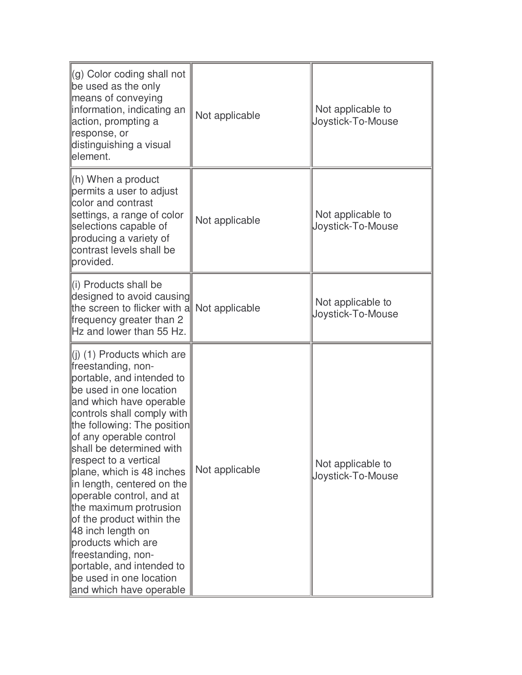| $(q)$ Color coding shall not<br>be used as the only<br>means of conveying<br>information, indicating an<br>action, prompting a<br>response, or<br>distinguishing a visual<br>element.                                                                                                                                                                                                                                                                                                                                                                                                | Not applicable | Not applicable to<br>Joystick-To-Mouse |
|--------------------------------------------------------------------------------------------------------------------------------------------------------------------------------------------------------------------------------------------------------------------------------------------------------------------------------------------------------------------------------------------------------------------------------------------------------------------------------------------------------------------------------------------------------------------------------------|----------------|----------------------------------------|
| $(h)$ When a product<br>permits a user to adjust<br>color and contrast<br>settings, a range of color<br>selections capable of<br>producing a variety of<br>contrast levels shall be<br>provided.                                                                                                                                                                                                                                                                                                                                                                                     | Not applicable | Not applicable to<br>Joystick-To-Mouse |
| $\parallel$ (i) Products shall be<br>designed to avoid causing<br>the screen to flicker with a<br>frequency greater than 2<br>Hz and lower than 55 Hz.                                                                                                                                                                                                                                                                                                                                                                                                                               | Not applicable | Not applicable to<br>Joystick-To-Mouse |
| $(1)$ (1) Products which are<br>freestanding, non-<br>portable, and intended to<br>be used in one location<br>and which have operable<br>controls shall comply with<br>the following: The position<br>of any operable control<br>shall be determined with<br>respect to a vertical<br>plane, which is 48 inches<br>in length, centered on the<br>operable control, and at<br>the maximum protrusion<br>of the product within the<br>48 inch length on<br>products which are<br>freestanding, non-<br>portable, and intended to<br>be used in one location<br>and which have operable | Not applicable | Not applicable to<br>Joystick-To-Mouse |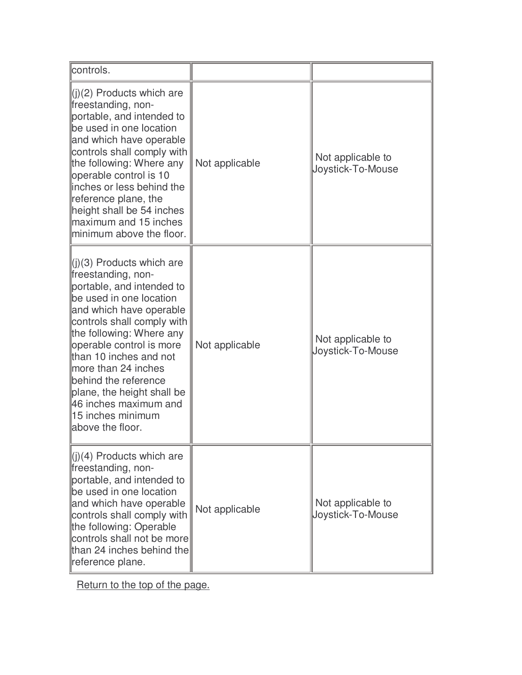| controls.                                                                                                                                                                                                                                                                                                                                                                                              |                |                                        |
|--------------------------------------------------------------------------------------------------------------------------------------------------------------------------------------------------------------------------------------------------------------------------------------------------------------------------------------------------------------------------------------------------------|----------------|----------------------------------------|
| $\  (i)(2)$ Products which are<br>freestanding, non-<br>portable, and intended to<br>be used in one location<br>and which have operable<br>controls shall comply with<br>the following: Where any<br>operable control is 10<br>linches or less behind the<br>reference plane, the<br>height shall be 54 inches<br>maximum and 15 inches<br>minimum above the floor.                                    | Not applicable | Not applicable to<br>Joystick-To-Mouse |
| $\ $ (j)(3) Products which are<br>freestanding, non-<br>portable, and intended to<br>be used in one location<br>and which have operable<br>controls shall comply with<br>the following: Where any<br>operable control is more<br>than 10 inches and not<br>more than 24 inches<br>behind the reference<br>plane, the height shall be<br>46 inches maximum and<br>15 inches minimum<br>above the floor. | Not applicable | Not applicable to<br>Joystick-To-Mouse |
| $\ $ (j)(4) Products which are<br>freestanding, non-<br>portable, and intended to<br>be used in one location<br>and which have operable<br>controls shall comply with<br>the following: Operable<br>controls shall not be more<br>than 24 inches behind the<br>reference plane.                                                                                                                        | Not applicable | Not applicable to<br>Joystick-To-Mouse |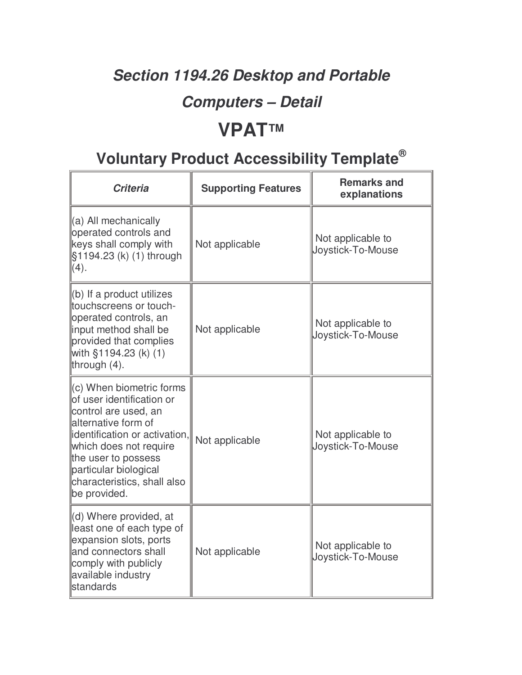# **Section 1194.26 Desktop and Portable**

### **Computers – Detail**

# **VPAT™**

| <b>Criteria</b>                                                                                                                                                                                                                                                 | <b>Supporting Features</b> | <b>Remarks and</b><br>explanations     |
|-----------------------------------------------------------------------------------------------------------------------------------------------------------------------------------------------------------------------------------------------------------------|----------------------------|----------------------------------------|
| (a) All mechanically<br>operated controls and<br>keys shall comply with<br>§1194.23 (k) (1) through<br>(4).                                                                                                                                                     | Not applicable             | Not applicable to<br>Joystick-To-Mouse |
| (b) If a product utilizes<br>touchscreens or touch-<br>operated controls, an<br>input method shall be<br>provided that complies<br>with §1194.23 (k) (1)<br>through $(4)$ .                                                                                     | Not applicable             | Not applicable to<br>Joystick-To-Mouse |
| (c) When biometric forms<br>lof user identification or<br>control are used, an<br>alternative form of<br>identification or activation,<br>which does not require<br>the user to possess<br>particular biological<br>characteristics, shall also<br>be provided. | Not applicable             | Not applicable to<br>Joystick-To-Mouse |
| (d) Where provided, at<br>least one of each type of<br>expansion slots, ports<br>and connectors shall<br>comply with publicly<br>available industry<br><b>standards</b>                                                                                         | Not applicable             | Not applicable to<br>Joystick-To-Mouse |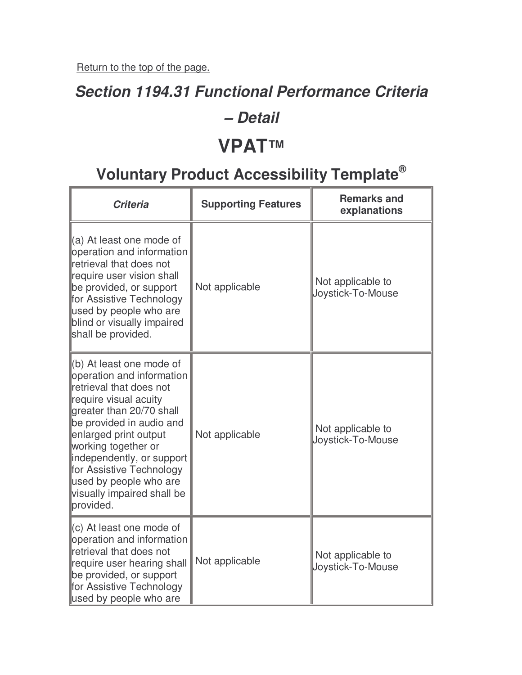### **Section 1194.31 Functional Performance Criteria**

#### **– Detail**

### **VPAT™**

| <b>Criteria</b>                                                                                                                                                                                                                                                                                                                                 | <b>Supporting Features</b> | <b>Remarks and</b><br>explanations     |
|-------------------------------------------------------------------------------------------------------------------------------------------------------------------------------------------------------------------------------------------------------------------------------------------------------------------------------------------------|----------------------------|----------------------------------------|
| (a) At least one mode of<br>operation and information<br>retrieval that does not<br>require user vision shall<br>be provided, or support<br>for Assistive Technology<br>used by people who are<br>blind or visually impaired<br>shall be provided.                                                                                              | Not applicable             | Not applicable to<br>Joystick-To-Mouse |
| (b) At least one mode of<br>operation and information<br>retrieval that does not<br>require visual acuity<br>greater than 20/70 shall<br>be provided in audio and<br>enlarged print output<br>working together or<br>independently, or support<br>for Assistive Technology<br>used by people who are<br>visually impaired shall be<br>provided. | Not applicable             | Not applicable to<br>Joystick-To-Mouse |
| (c) At least one mode of<br>operation and information<br>retrieval that does not<br>require user hearing shall<br>be provided, or support<br>for Assistive Technology<br>used by people who are                                                                                                                                                 | Not applicable             | Not applicable to<br>Joystick-To-Mouse |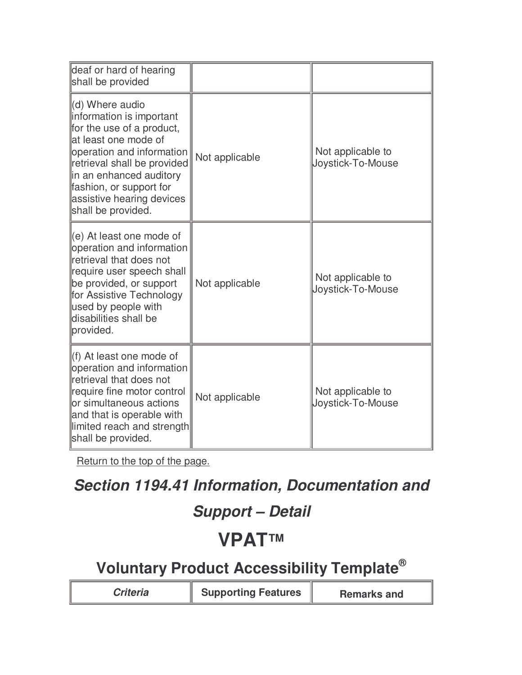| deaf or hard of hearing<br>shall be provided                                                                                                                                                                                                                            |                |                                        |
|-------------------------------------------------------------------------------------------------------------------------------------------------------------------------------------------------------------------------------------------------------------------------|----------------|----------------------------------------|
| (d) Where audio<br>information is important<br>for the use of a product,<br>llat least one mode of<br>operation and information<br>retrieval shall be provided<br>in an enhanced auditory<br>fashion, or support for<br>assistive hearing devices<br>shall be provided. | Not applicable | Not applicable to<br>Joystick-To-Mouse |
| $\parallel$ (e) At least one mode of<br>operation and information<br>retrieval that does not<br>require user speech shall<br>be provided, or support<br>for Assistive Technology<br>used by people with<br>disabilities shall be<br>provided.                           | Not applicable | Not applicable to<br>Joystick-To-Mouse |
| ll(f) At least one mode of<br>operation and information<br>retrieval that does not<br>require fine motor control<br>or simultaneous actions<br>and that is operable with<br>llimited reach and strength<br>shall be provided.                                           | Not applicable | Not applicable to<br>Joystick-To-Mouse |

### **Section 1194.41 Information, Documentation and**

### **Support – Detail**

# **VPAT™**

| <b>Supporting Features</b><br>Criteria | <b>Remarks and</b> |
|----------------------------------------|--------------------|
|----------------------------------------|--------------------|